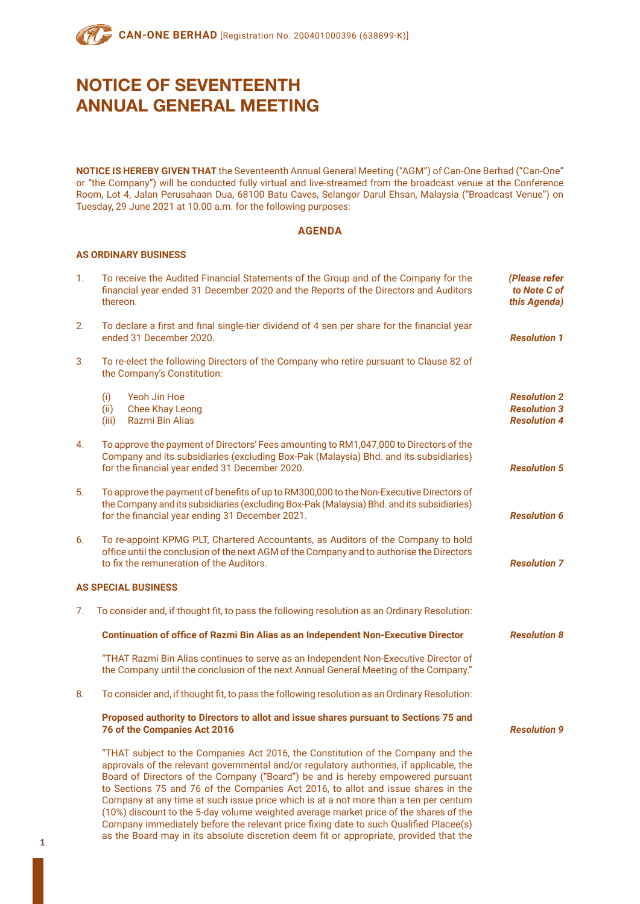**NOTICE IS HEREBY GIVEN THAT** the Seventeenth Annual General Meeting ("AGM") of Can-One Berhad ("Can-One" or "the Company") will be conducted fully virtual and live-streamed from the broadcast venue at the Conference Room, Lot 4, Jalan Perusahaan Dua, 68100 Batu Caves, Selangor Darul Ehsan, Malaysia ("Broadcast Venue") on Tuesday, 29 June 2021 at 10.00 a.m. for the following purposes:

## **AGENDA**

## **AS ORDINARY BUSINESS**

| 1. | To receive the Audited Financial Statements of the Group and of the Company for the<br>financial year ended 31 December 2020 and the Reports of the Directors and Auditors<br>thereon.                                                                                                                                                                                                                                                                                                                                                                                                                                         | (Please refer<br>to Note C of<br>this Agenda)                     |
|----|--------------------------------------------------------------------------------------------------------------------------------------------------------------------------------------------------------------------------------------------------------------------------------------------------------------------------------------------------------------------------------------------------------------------------------------------------------------------------------------------------------------------------------------------------------------------------------------------------------------------------------|-------------------------------------------------------------------|
| 2. | To declare a first and final single-tier dividend of 4 sen per share for the financial year<br>ended 31 December 2020.                                                                                                                                                                                                                                                                                                                                                                                                                                                                                                         | <b>Resolution 1</b>                                               |
| 3. | To re-elect the following Directors of the Company who retire pursuant to Clause 82 of<br>the Company's Constitution:                                                                                                                                                                                                                                                                                                                                                                                                                                                                                                          |                                                                   |
|    | Yeoh Jin Hoe<br>(i)<br><b>Chee Khay Leong</b><br>(ii)<br>(iii)<br>Razmi Bin Alias                                                                                                                                                                                                                                                                                                                                                                                                                                                                                                                                              | <b>Resolution 2</b><br><b>Resolution 3</b><br><b>Resolution 4</b> |
| 4. | To approve the payment of Directors' Fees amounting to RM1,047,000 to Directors of the<br>Company and its subsidiaries (excluding Box-Pak (Malaysia) Bhd. and its subsidiaries)<br>for the financial year ended 31 December 2020.                                                                                                                                                                                                                                                                                                                                                                                              | <b>Resolution 5</b>                                               |
| 5. | To approve the payment of benefits of up to RM300,000 to the Non-Executive Directors of<br>the Company and its subsidiaries (excluding Box-Pak (Malaysia) Bhd. and its subsidiaries)<br>for the financial year ending 31 December 2021.                                                                                                                                                                                                                                                                                                                                                                                        | <b>Resolution 6</b>                                               |
| 6. | To re-appoint KPMG PLT, Chartered Accountants, as Auditors of the Company to hold<br>office until the conclusion of the next AGM of the Company and to authorise the Directors<br>to fix the remuneration of the Auditors.                                                                                                                                                                                                                                                                                                                                                                                                     | <b>Resolution 7</b>                                               |
|    | <b>AS SPECIAL BUSINESS</b>                                                                                                                                                                                                                                                                                                                                                                                                                                                                                                                                                                                                     |                                                                   |
| 7. | To consider and, if thought fit, to pass the following resolution as an Ordinary Resolution:                                                                                                                                                                                                                                                                                                                                                                                                                                                                                                                                   |                                                                   |
|    | <b>Continuation of office of Razmi Bin Alias as an Independent Non-Executive Director</b>                                                                                                                                                                                                                                                                                                                                                                                                                                                                                                                                      | <b>Resolution 8</b>                                               |
|    | "THAT Razmi Bin Alias continues to serve as an Independent Non-Executive Director of<br>the Company until the conclusion of the next Annual General Meeting of the Company."                                                                                                                                                                                                                                                                                                                                                                                                                                                   |                                                                   |
| 8. | To consider and, if thought fit, to pass the following resolution as an Ordinary Resolution:                                                                                                                                                                                                                                                                                                                                                                                                                                                                                                                                   |                                                                   |
|    | Proposed authority to Directors to allot and issue shares pursuant to Sections 75 and<br>76 of the Companies Act 2016                                                                                                                                                                                                                                                                                                                                                                                                                                                                                                          | <b>Resolution 9</b>                                               |
|    | "THAT subject to the Companies Act 2016, the Constitution of the Company and the<br>approvals of the relevant governmental and/or regulatory authorities, if applicable, the<br>Board of Directors of the Company ("Board") be and is hereby empowered pursuant<br>to Sections 75 and 76 of the Companies Act 2016, to allot and issue shares in the<br>Company at any time at such issue price which is at a not more than a ten per centum<br>(10%) discount to the 5-day volume weighted average market price of the shares of the<br>Company immediately before the relevant price fixing date to such Qualified Placee(s) |                                                                   |

as the Board may in its absolute discretion deem fit or appropriate, provided that the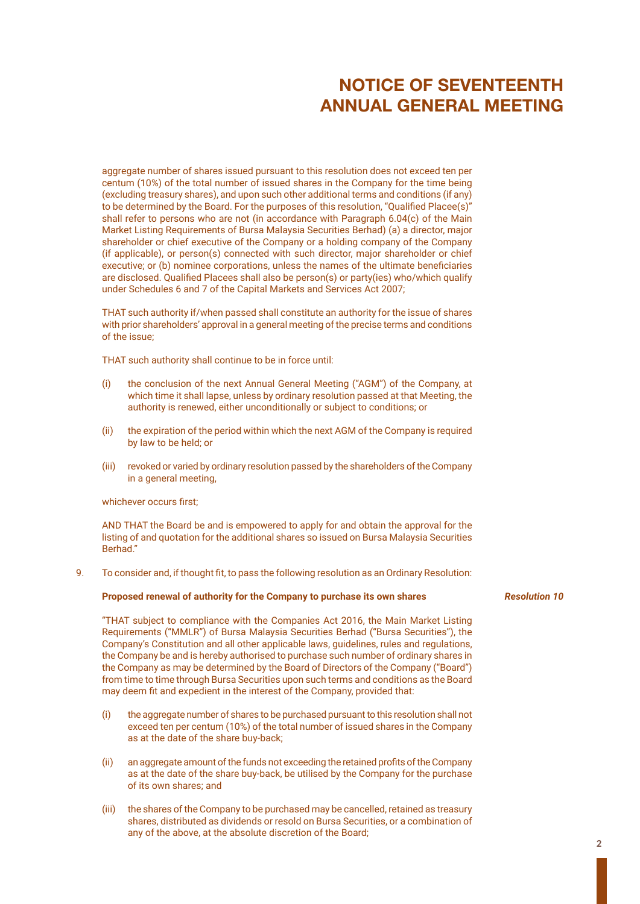aggregate number of shares issued pursuant to this resolution does not exceed ten per centum (10%) of the total number of issued shares in the Company for the time being (excluding treasury shares), and upon such other additional terms and conditions (if any) to be determined by the Board. For the purposes of this resolution, "Qualified Placee(s)" shall refer to persons who are not (in accordance with Paragraph 6.04(c) of the Main Market Listing Requirements of Bursa Malaysia Securities Berhad) (a) a director, major shareholder or chief executive of the Company or a holding company of the Company (if applicable), or person(s) connected with such director, major shareholder or chief executive; or (b) nominee corporations, unless the names of the ultimate beneficiaries are disclosed. Qualified Placees shall also be person(s) or party(ies) who/which qualify under Schedules 6 and 7 of the Capital Markets and Services Act 2007;

THAT such authority if/when passed shall constitute an authority for the issue of shares with prior shareholders' approval in a general meeting of the precise terms and conditions of the issue;

THAT such authority shall continue to be in force until:

- (i) the conclusion of the next Annual General Meeting ("AGM") of the Company, at which time it shall lapse, unless by ordinary resolution passed at that Meeting, the authority is renewed, either unconditionally or subject to conditions; or
- (ii) the expiration of the period within which the next AGM of the Company is required by law to be held; or
- (iii) revoked or varied by ordinary resolution passed by the shareholders of the Company in a general meeting,

### whichever occurs first;

AND THAT the Board be and is empowered to apply for and obtain the approval for the listing of and quotation for the additional shares so issued on Bursa Malaysia Securities Berhad."

9. To consider and, if thought fit, to pass the following resolution as an Ordinary Resolution:

### **Proposed renewal of authority for the Company to purchase its own shares**

"THAT subject to compliance with the Companies Act 2016, the Main Market Listing Requirements ("MMLR") of Bursa Malaysia Securities Berhad ("Bursa Securities"), the Company's Constitution and all other applicable laws, guidelines, rules and regulations, the Company be and is hereby authorised to purchase such number of ordinary shares in the Company as may be determined by the Board of Directors of the Company ("Board") from time to time through Bursa Securities upon such terms and conditions as the Board may deem fit and expedient in the interest of the Company, provided that:

- (i) the aggregate number of shares to be purchased pursuant to this resolution shall not exceed ten per centum (10%) of the total number of issued shares in the Company as at the date of the share buy-back;
- (ii) an aggregate amount of the funds not exceeding the retained profits of the Company as at the date of the share buy-back, be utilised by the Company for the purchase of its own shares; and
- (iii) the shares of the Company to be purchased may be cancelled, retained as treasury shares, distributed as dividends or resold on Bursa Securities, or a combination of any of the above, at the absolute discretion of the Board;

## *Resolution 10*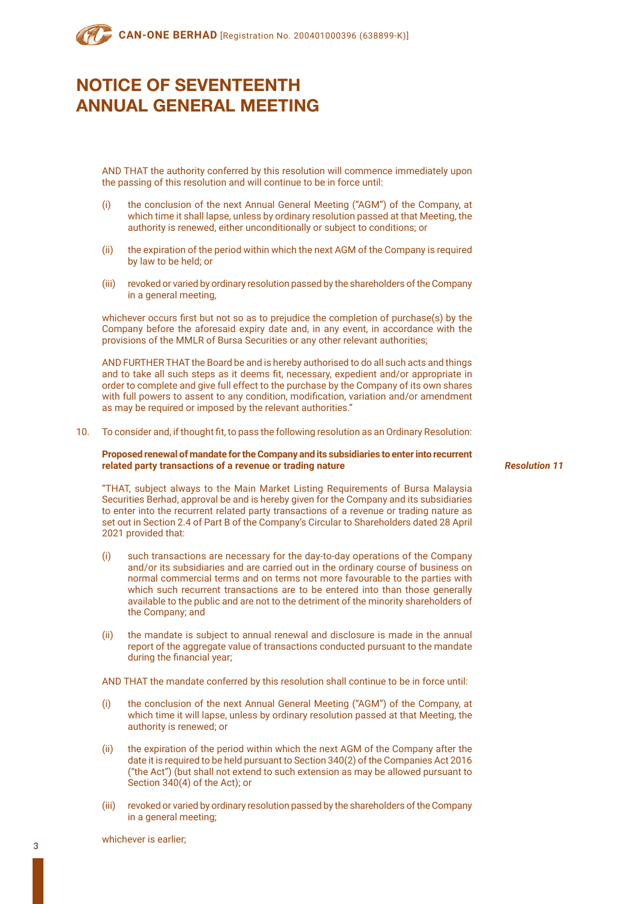AND THAT the authority conferred by this resolution will commence immediately upon the passing of this resolution and will continue to be in force until:

- (i) the conclusion of the next Annual General Meeting ("AGM") of the Company, at which time it shall lapse, unless by ordinary resolution passed at that Meeting, the authority is renewed, either unconditionally or subject to conditions; or
- (ii) the expiration of the period within which the next AGM of the Company is required by law to be held; or
- (iii) revoked or varied by ordinary resolution passed by the shareholders of the Company in a general meeting,

whichever occurs first but not so as to prejudice the completion of purchase(s) by the Company before the aforesaid expiry date and, in any event, in accordance with the provisions of the MMLR of Bursa Securities or any other relevant authorities;

AND FURTHER THAT the Board be and is hereby authorised to do all such acts and things and to take all such steps as it deems fit, necessary, expedient and/or appropriate in order to complete and give full effect to the purchase by the Company of its own shares with full powers to assent to any condition, modification, variation and/or amendment as may be required or imposed by the relevant authorities."

10. To consider and, if thought fit, to pass the following resolution as an Ordinary Resolution:

### **Proposed renewal of mandate for the Company and its subsidiaries to enter into recurrent related party transactions of a revenue or trading nature**

*Resolution 11*

"THAT, subject always to the Main Market Listing Requirements of Bursa Malaysia Securities Berhad, approval be and is hereby given for the Company and its subsidiaries to enter into the recurrent related party transactions of a revenue or trading nature as set out in Section 2.4 of Part B of the Company's Circular to Shareholders dated 28 April 2021 provided that:

- (i) such transactions are necessary for the day-to-day operations of the Company and/or its subsidiaries and are carried out in the ordinary course of business on normal commercial terms and on terms not more favourable to the parties with which such recurrent transactions are to be entered into than those generally available to the public and are not to the detriment of the minority shareholders of the Company; and
- (ii) the mandate is subject to annual renewal and disclosure is made in the annual report of the aggregate value of transactions conducted pursuant to the mandate during the financial year;

AND THAT the mandate conferred by this resolution shall continue to be in force until:

- (i) the conclusion of the next Annual General Meeting ("AGM") of the Company, at which time it will lapse, unless by ordinary resolution passed at that Meeting, the authority is renewed; or
- (ii) the expiration of the period within which the next AGM of the Company after the date it is required to be held pursuant to Section 340(2) of the Companies Act 2016 ("the Act") (but shall not extend to such extension as may be allowed pursuant to Section 340(4) of the Act); or
- (iii) revoked or varied by ordinary resolution passed by the shareholders of the Company in a general meeting;

whichever is earlier;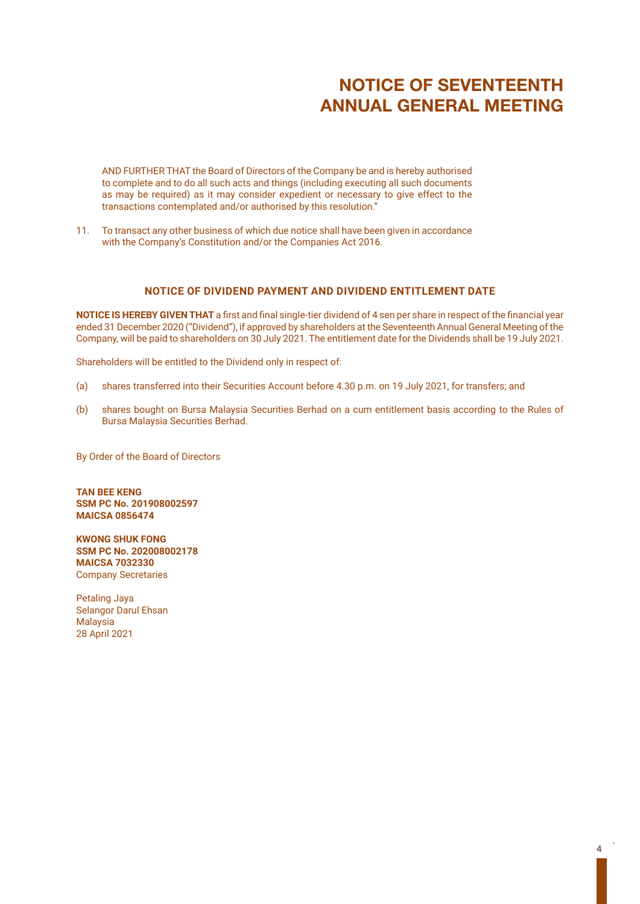AND FURTHER THAT the Board of Directors of the Company be and is hereby authorised to complete and to do all such acts and things (including executing all such documents as may be required) as it may consider expedient or necessary to give effect to the transactions contemplated and/or authorised by this resolution."

11. To transact any other business of which due notice shall have been given in accordance with the Company's Constitution and/or the Companies Act 2016.

## **NOTICE OF DIVIDEND PAYMENT AND DIVIDEND ENTITLEMENT DATE**

**NOTICE IS HEREBY GIVEN THAT** a first and final single-tier dividend of 4 sen per share in respect of the financial year ended 31 December 2020 ("Dividend"), if approved by shareholders at the Seventeenth Annual General Meeting of the Company, will be paid to shareholders on 30 July 2021. The entitlement date for the Dividends shall be 19 July 2021.

Shareholders will be entitled to the Dividend only in respect of:

- (a) shares transferred into their Securities Account before 4.30 p.m. on 19 July 2021, for transfers; and
- (b) shares bought on Bursa Malaysia Securities Berhad on a cum entitlement basis according to the Rules of Bursa Malaysia Securities Berhad.

By Order of the Board of Directors

**TAN BEE KENG SSM PC No. 201908002597 MAICSA 0856474**

**KWONG SHUK FONG SSM PC No. 202008002178 MAICSA 7032330** Company Secretaries

Petaling Jaya Selangor Darul Ehsan **Malaysia** 28 April 2021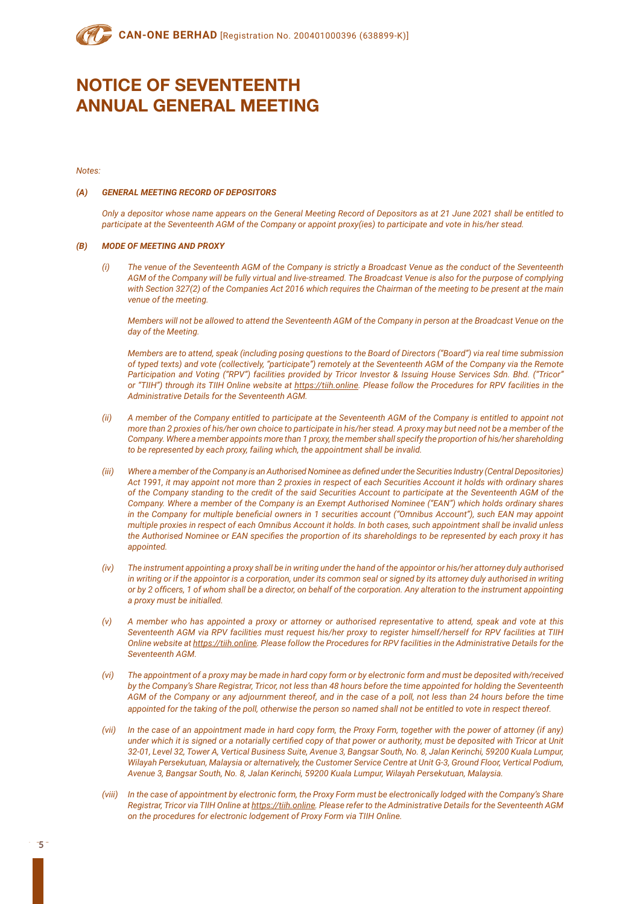*Notes:*

### *(A) GENERAL MEETING RECORD OF DEPOSITORS*

*Only a depositor whose name appears on the General Meeting Record of Depositors as at 21 June 2021 shall be entitled to participate at the Seventeenth AGM of the Company or appoint proxy(ies) to participate and vote in his/her stead.*

### *(B) MODE OF MEETING AND PROXY*

*(i) The venue of the Seventeenth AGM of the Company is strictly a Broadcast Venue as the conduct of the Seventeenth AGM of the Company will be fully virtual and live-streamed. The Broadcast Venue is also for the purpose of complying*  with Section 327(2) of the Companies Act 2016 which requires the Chairman of the meeting to be present at the main *venue of the meeting.*

*Members will not be allowed to attend the Seventeenth AGM of the Company in person at the Broadcast Venue on the day of the Meeting.*

*Members are to attend, speak (including posing questions to the Board of Directors ("Board") via real time submission of typed texts) and vote (collectively, "participate") remotely at the Seventeenth AGM of the Company via the Remote Participation and Voting ("RPV") facilities provided by Tricor Investor & Issuing House Services Sdn. Bhd. ("Tricor" or "TIIH") through its TIIH Online website at https://tiih.online. Please follow the Procedures for RPV facilities in the Administrative Details for the Seventeenth AGM.*

- *(ii) A member of the Company entitled to participate at the Seventeenth AGM of the Company is entitled to appoint not more than 2 proxies of his/her own choice to participate in his/her stead. A proxy may but need not be a member of the Company. Where a member appoints more than 1 proxy, the member shall specify the proportion of his/her shareholding to be represented by each proxy, failing which, the appointment shall be invalid.*
- *(iii) Where a member of the Company is an Authorised Nominee as defined under the Securities Industry (Central Depositories) Act 1991, it may appoint not more than 2 proxies in respect of each Securities Account it holds with ordinary shares of the Company standing to the credit of the said Securities Account to participate at the Seventeenth AGM of the Company. Where a member of the Company is an Exempt Authorised Nominee ("EAN") which holds ordinary shares in the Company for multiple beneficial owners in 1 securities account ("Omnibus Account"), such EAN may appoint multiple proxies in respect of each Omnibus Account it holds. In both cases, such appointment shall be invalid unless the Authorised Nominee or EAN specifies the proportion of its shareholdings to be represented by each proxy it has appointed.*
- *(iv) The instrument appointing a proxy shall be in writing under the hand of the appointor or his/her attorney duly authorised*  in writing or if the appointor is a corporation, under its common seal or signed by its attorney duly authorised in writing *or by 2 officers, 1 of whom shall be a director, on behalf of the corporation. Any alteration to the instrument appointing a proxy must be initialled.*
- *(v) A member who has appointed a proxy or attorney or authorised representative to attend, speak and vote at this Seventeenth AGM via RPV facilities must request his/her proxy to register himself/herself for RPV facilities at TIIH Online website at https://tiih.online. Please follow the Procedures for RPV facilities in the Administrative Details for the Seventeenth AGM.*
- *(vi) The appointment of a proxy may be made in hard copy form or by electronic form and must be deposited with/received by the Company's Share Registrar, Tricor, not less than 48 hours before the time appointed for holding the Seventeenth AGM of the Company or any adjournment thereof, and in the case of a poll, not less than 24 hours before the time appointed for the taking of the poll, otherwise the person so named shall not be entitled to vote in respect thereof.*
- *(vii) In the case of an appointment made in hard copy form, the Proxy Form, together with the power of attorney (if any) under which it is signed or a notarially certified copy of that power or authority, must be deposited with Tricor at Unit 32-01, Level 32, Tower A, Vertical Business Suite, Avenue 3, Bangsar South, No. 8, Jalan Kerinchi, 59200 Kuala Lumpur, Wilayah Persekutuan, Malaysia or alternatively, the Customer Service Centre at Unit G-3, Ground Floor, Vertical Podium, Avenue 3, Bangsar South, No. 8, Jalan Kerinchi, 59200 Kuala Lumpur, Wilayah Persekutuan, Malaysia.*
- *(viii) In the case of appointment by electronic form, the Proxy Form must be electronically lodged with the Company's Share Registrar, Tricor via TIIH Online at https://tiih.online. Please refer to the Administrative Details for the Seventeenth AGM on the procedures for electronic lodgement of Proxy Form via TIIH Online.*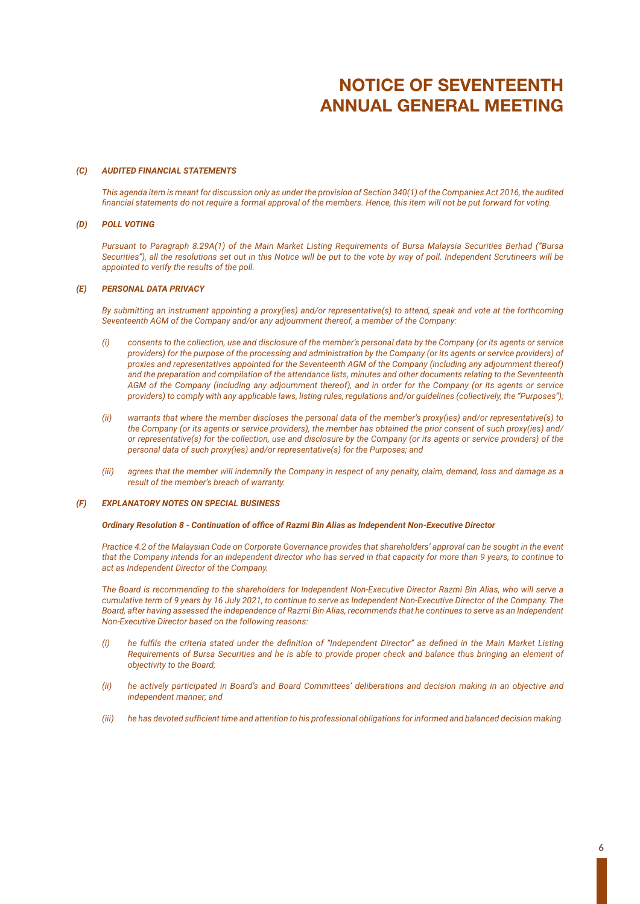### *(C) AUDITED FINANCIAL STATEMENTS*

*This agenda item is meant for discussion only as under the provision of Section 340(1) of the Companies Act 2016, the audited financial statements do not require a formal approval of the members. Hence, this item will not be put forward for voting.*

### *(D) POLL VOTING*

*Pursuant to Paragraph 8.29A(1) of the Main Market Listing Requirements of Bursa Malaysia Securities Berhad ("Bursa Securities"), all the resolutions set out in this Notice will be put to the vote by way of poll. Independent Scrutineers will be appointed to verify the results of the poll.*

### *(E) PERSONAL DATA PRIVACY*

*By submitting an instrument appointing a proxy(ies) and/or representative(s) to attend, speak and vote at the forthcoming Seventeenth AGM of the Company and/or any adjournment thereof, a member of the Company:*

- *(i) consents to the collection, use and disclosure of the member's personal data by the Company (or its agents or service providers) for the purpose of the processing and administration by the Company (or its agents or service providers) of proxies and representatives appointed for the Seventeenth AGM of the Company (including any adjournment thereof) and the preparation and compilation of the attendance lists, minutes and other documents relating to the Seventeenth AGM of the Company (including any adjournment thereof), and in order for the Company (or its agents or service providers) to comply with any applicable laws, listing rules, regulations and/or guidelines (collectively, the "Purposes");*
- *(ii) warrants that where the member discloses the personal data of the member's proxy(ies) and/or representative(s) to the Company (or its agents or service providers), the member has obtained the prior consent of such proxy(ies) and/ or representative(s) for the collection, use and disclosure by the Company (or its agents or service providers) of the personal data of such proxy(ies) and/or representative(s) for the Purposes; and*
- *(iii) agrees that the member will indemnify the Company in respect of any penalty, claim, demand, loss and damage as a result of the member's breach of warranty.*

### *(F) EXPLANATORY NOTES ON SPECIAL BUSINESS*

### *Ordinary Resolution 8 - Continuation of office of Razmi Bin Alias as Independent Non-Executive Director*

*Practice 4.2 of the Malaysian Code on Corporate Governance provides that shareholders' approval can be sought in the event that the Company intends for an independent director who has served in that capacity for more than 9 years, to continue to act as Independent Director of the Company.*

*The Board is recommending to the shareholders for Independent Non-Executive Director Razmi Bin Alias, who will serve a cumulative term of 9 years by 16 July 2021, to continue to serve as Independent Non-Executive Director of the Company. The Board, after having assessed the independence of Razmi Bin Alias, recommends that he continues to serve as an Independent Non-Executive Director based on the following reasons:*

- *(i) he fulfils the criteria stated under the definition of "Independent Director" as defined in the Main Market Listing Requirements of Bursa Securities and he is able to provide proper check and balance thus bringing an element of objectivity to the Board;*
- *(ii) he actively participated in Board's and Board Committees' deliberations and decision making in an objective and independent manner; and*
- *(iii) he has devoted sufficient time and attention to his professional obligations for informed and balanced decision making.*